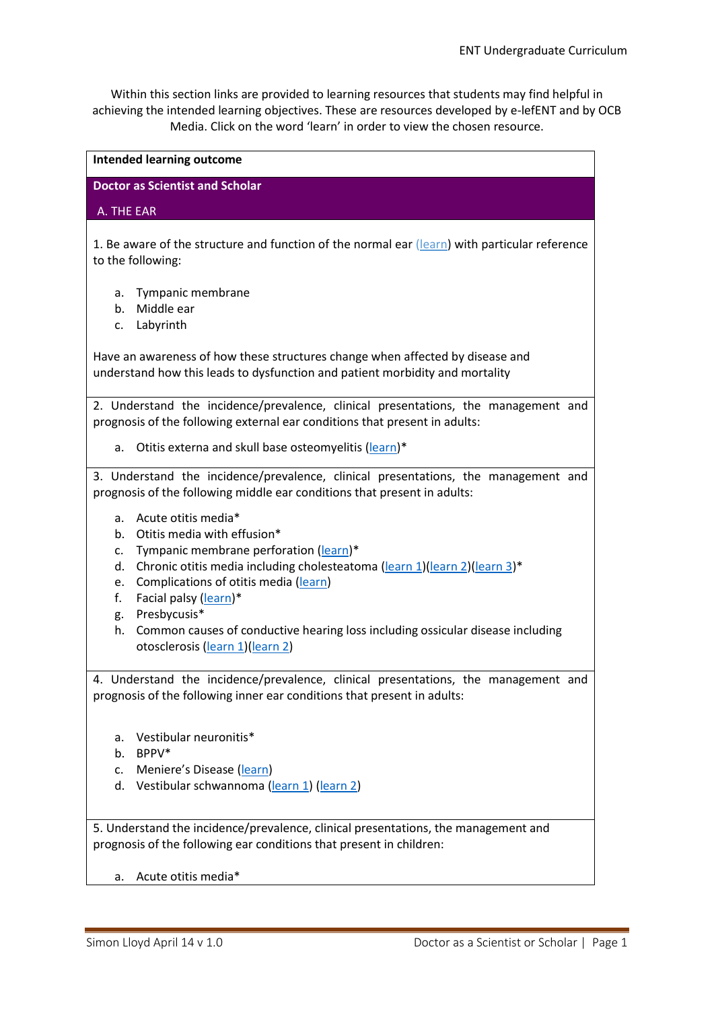Within this section links are provided to learning resources that students may find helpful in achieving the intended learning objectives. These are resources developed by e-lefENT and by OCB Media. Click on the word 'learn' in order to view the chosen resource.

| <b>Intended learning outcome</b>                                                                                                                                 |
|------------------------------------------------------------------------------------------------------------------------------------------------------------------|
| <b>Doctor as Scientist and Scholar</b>                                                                                                                           |
| A. THE EAR                                                                                                                                                       |
| 1. Be aware of the structure and function of the normal ear (learn) with particular reference<br>to the following:                                               |
| a. Tympanic membrane<br>b. Middle ear<br>Labyrinth<br>C.                                                                                                         |
| Have an awareness of how these structures change when affected by disease and<br>understand how this leads to dysfunction and patient morbidity and mortality    |
| 2. Understand the incidence/prevalence, clinical presentations, the management and<br>prognosis of the following external ear conditions that present in adults: |
| a. Otitis externa and skull base osteomyelitis (learn)*                                                                                                          |
| 3. Understand the incidence/prevalence, clinical presentations, the management and<br>prognosis of the following middle ear conditions that present in adults:   |
| a. Acute otitis media*                                                                                                                                           |
| Otitis media with effusion*<br>b.<br>Tympanic membrane perforation (learn)*<br>c.                                                                                |
| Chronic otitis media including cholesteatoma (learn 1)(learn 2)(learn 3)*<br>d.                                                                                  |
| Complications of otitis media (learn)<br>e.                                                                                                                      |
| f.<br>Facial palsy (learn)*                                                                                                                                      |
| Presbycusis*<br>g.                                                                                                                                               |
| Common causes of conductive hearing loss including ossicular disease including<br>h.<br>otosclerosis (learn 1)(learn 2)                                          |
| 4. Understand the incidence/prevalence, clinical presentations, the management and<br>prognosis of the following inner ear conditions that present in adults:    |
| Vestibular neuronitis*<br>a.                                                                                                                                     |
| BPPV*<br>b.                                                                                                                                                      |
| Meniere's Disease (learn)<br>c.<br>d. Vestibular schwannoma (learn 1) (learn 2)                                                                                  |
| 5. Understand the incidence/prevalence, clinical presentations, the management and<br>prognosis of the following ear conditions that present in children:        |
| Acute otitis media*<br>а.                                                                                                                                        |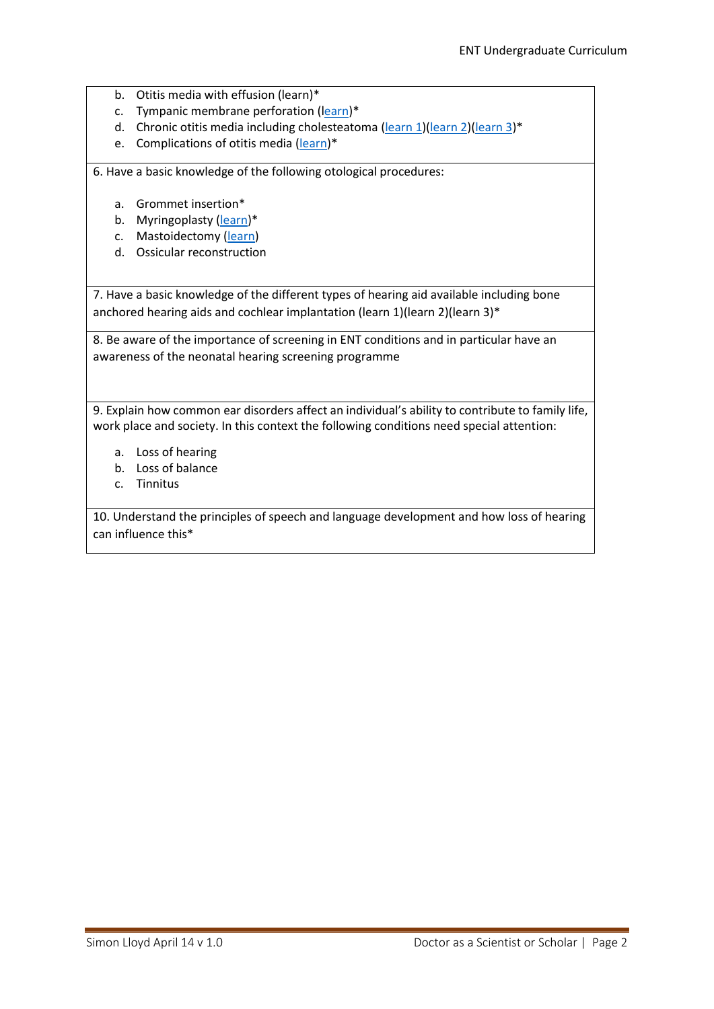- b. Otitis media with effusion (learn)\*
- c. Tympanic membrane perforation [\(learn\)](http://www.e-lefent.org.uk/the-learning-zone/node/3744)\*
- d. Chronic otitis media including cholesteatoma [\(learn](http://www.e-lefent.org.uk/the-learning-zone/node/1509) 1)[\(learn 2\)](http://www.e-lefent.org.uk/the-learning-zone/node/1557)[\(learn 3\)](http://www.e-lefent.org.uk/the-learning-zone/node/4205)\*
- e. Complications of otitis media [\(learn\)](http://www.e-lefent.org.uk/the-learning-zone/node/3889)\*

6. Have a basic knowledge of the following otological procedures:

- a. Grommet insertion\*
- b. Myringoplasty [\(learn\)](http://www.e-lefent.org.uk/the-learning-zone/node/3744)\*
- c. Mastoidectomy [\(learn\)](http://www.e-lefent.org.uk/the-learning-zone/node/4205)
- d. Ossicular reconstruction

7. Have a basic knowledge of the different types of hearing aid available including bone anchored hearing aids and cochlear implantation (learn 1)(learn 2)(learn 3)\*

8. Be aware of the importance of screening in ENT conditions and in particular have an awareness of the neonatal hearing screening programme

9. Explain how common ear disorders affect an individual's ability to contribute to family life, work place and society. In this context the following conditions need special attention:

- a. Loss of hearing
- b. Loss of balance
- c. Tinnitus

10. Understand the principles of speech and language development and how loss of hearing can influence this\*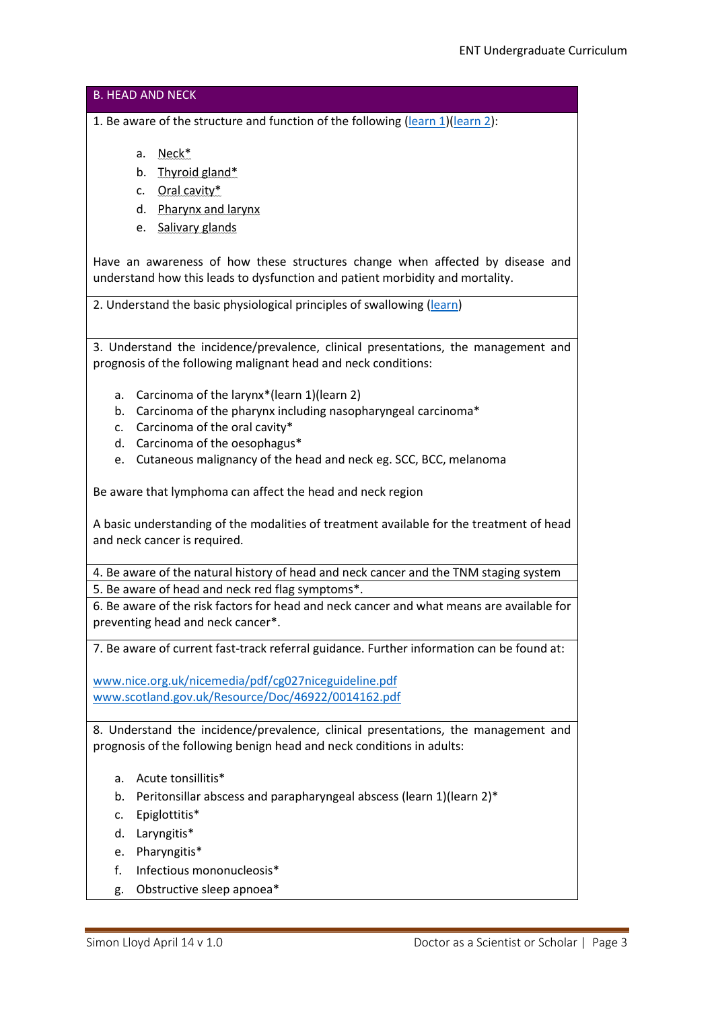B. HEAD AND NECK 1. Be aware of the structure and function of the following  $(\text{learn 1})(\text{learn 2})$ : a. Neck\* b. Thyroid gland\*

- c. Oral cavity\*
- d. Pharynx and larynx
- e. Salivary glands

Have an awareness of how these structures change when affected by disease and understand how this leads to dysfunction and patient morbidity and mortality.

2. Understand the basic physiological principles of swallowing [\(learn\)](http://entvideo.ocbmedia.com/swallowing)

3. Understand the incidence/prevalence, clinical presentations, the management and prognosis of the following malignant head and neck conditions:

- a. Carcinoma of the larynx\*(learn 1)(learn 2)
- b. Carcinoma of the pharynx including nasopharyngeal carcinoma\*
- c. Carcinoma of the oral cavity\*
- d. Carcinoma of the oesophagus\*
- e. Cutaneous malignancy of the head and neck eg. SCC, BCC, melanoma

Be aware that lymphoma can affect the head and neck region

A basic understanding of the modalities of treatment available for the treatment of head and neck cancer is required.

4. Be aware of the natural history of head and neck cancer and the TNM staging system

5. Be aware of head and neck red flag symptoms\*.

6. Be aware of the risk factors for head and neck cancer and what means are available for preventing head and neck cancer\*.

7. Be aware of current fast-track referral guidance. Further information can be found at:

[www.nice.org.uk/nicemedia/pdf/cg027niceguideline.pdf](http://www.nice.org.uk/nicemedia/pdf/cg027niceguideline.pdf) [www.scotland.gov.uk/Resource/Doc/46922/0014162.pdf](http://www.scotland.gov.uk/Resource/Doc/46922/0014162.pdf)

8. Understand the incidence/prevalence, clinical presentations, the management and prognosis of the following benign head and neck conditions in adults:

- a. Acute tonsillitis\*
- b. Peritonsillar abscess and parapharyngeal abscess (learn 1)(learn 2)\*
- c. Epiglottitis\*
- d. Laryngitis\*
- e. Pharyngitis\*
- f. Infectious mononucleosis\*
- g. Obstructive sleep apnoea\*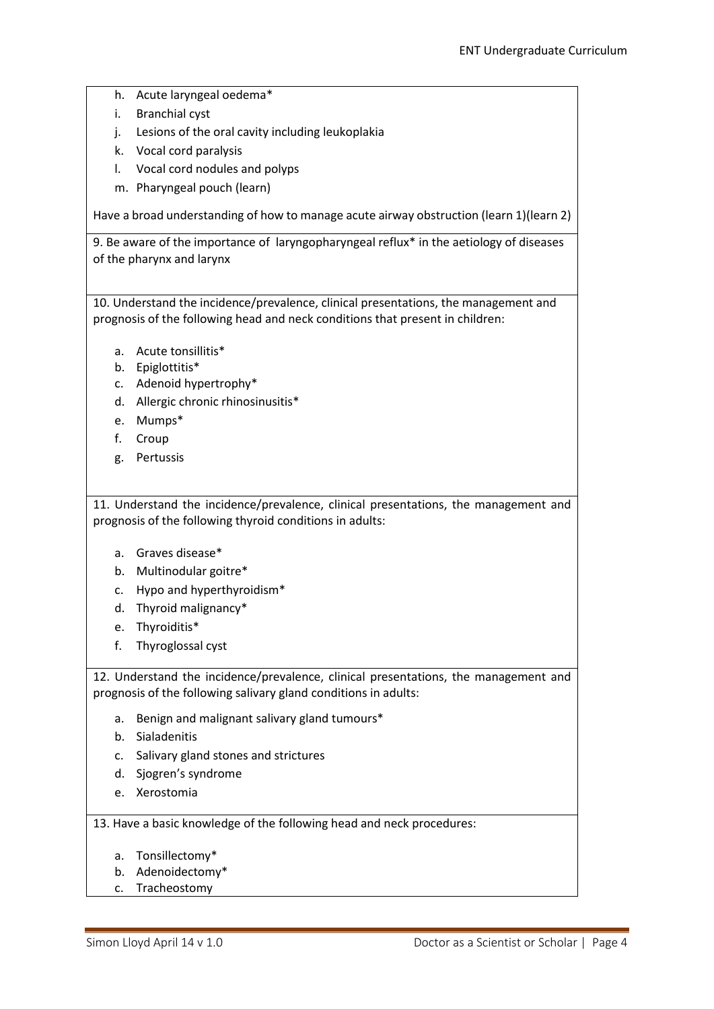i. Branchial cyst j. Lesions of the oral cavity including leukoplakia k. Vocal cord paralysis l. Vocal cord nodules and polyps m. Pharyngeal pouch (learn) Have a broad understanding of how to manage acute airway obstruction (learn 1)(learn 2) 9. Be aware of the importance of laryngopharyngeal reflux\* in the aetiology of diseases of the pharynx and larynx 10. Understand the incidence/prevalence, clinical presentations, the management and prognosis of the following head and neck conditions that present in children: a. Acute tonsillitis\* b. Epiglottitis\* c. Adenoid hypertrophy\* d. Allergic chronic rhinosinusitis\* e. Mumps\* f. Croup g. Pertussis 11. Understand the incidence/prevalence, clinical presentations, the management and prognosis of the following thyroid conditions in adults: a. Graves disease\* b. Multinodular goitre\* c. Hypo and hyperthyroidism\* d. Thyroid malignancy\* e. Thyroiditis\* f. Thyroglossal cyst 12. Understand the incidence/prevalence, clinical presentations, the management and prognosis of the following salivary gland conditions in adults: a. Benign and malignant salivary gland tumours\* b. Sialadenitis c. Salivary gland stones and strictures d. Sjogren's syndrome e. Xerostomia 13. Have a basic knowledge of the following head and neck procedures: a. Tonsillectomy\* b. Adenoidectomy\* c. Tracheostomy

h. Acute laryngeal oedema\*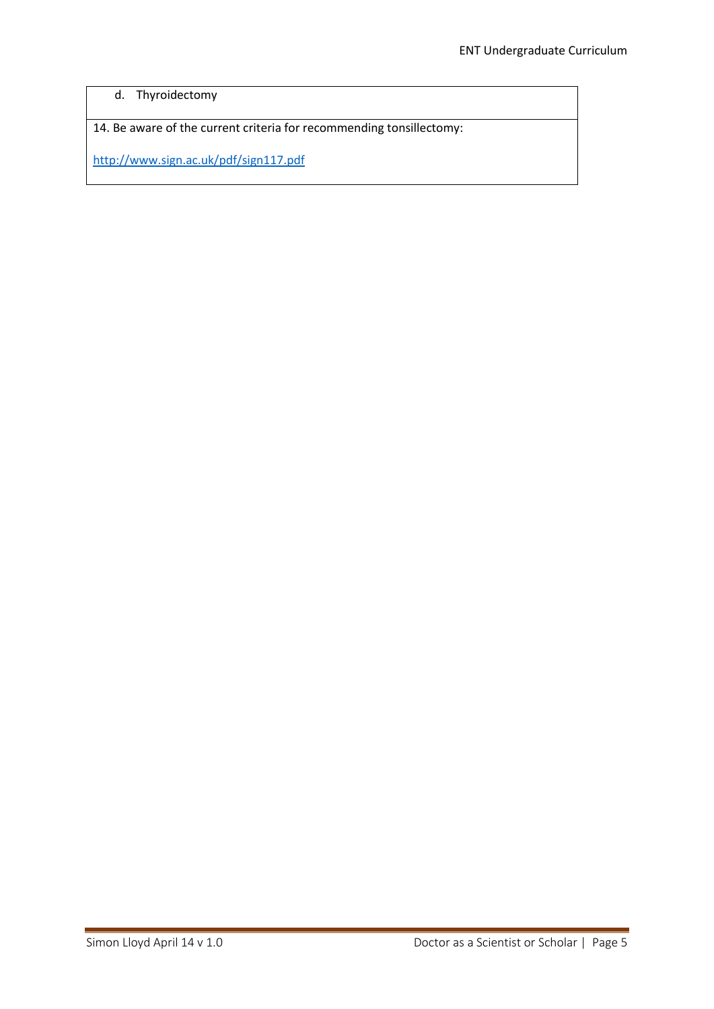## d. Thyroidectomy

14. Be aware of the current criteria for recommending tonsillectomy:

<http://www.sign.ac.uk/pdf/sign117.pdf>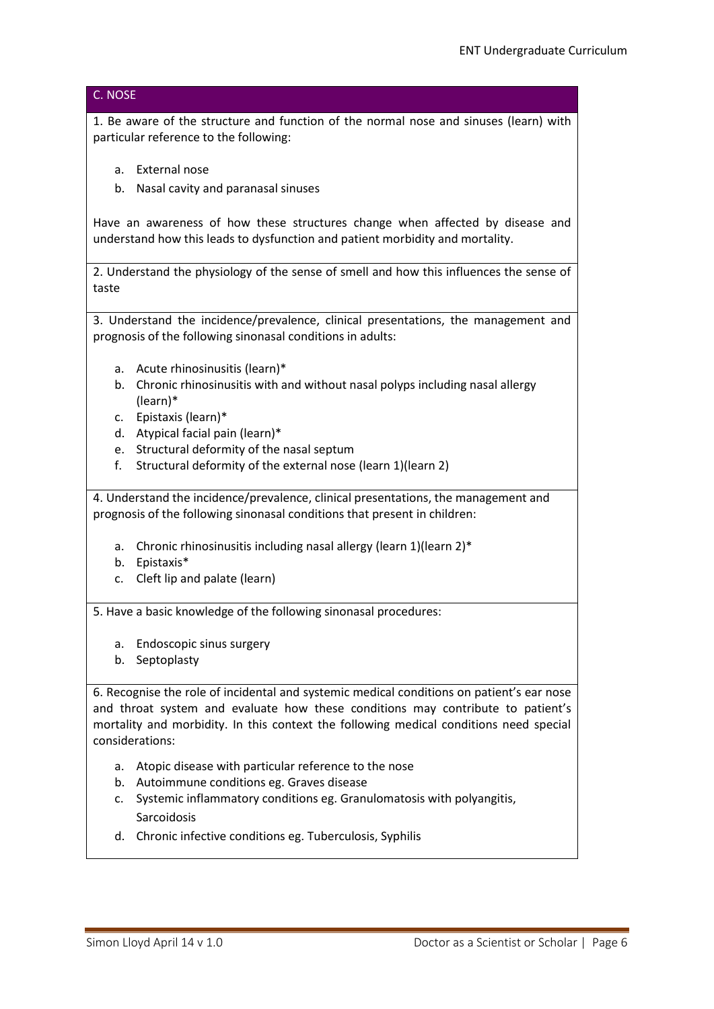| C. NOSE                                                                                                                                                                                                                                                                                   |
|-------------------------------------------------------------------------------------------------------------------------------------------------------------------------------------------------------------------------------------------------------------------------------------------|
| 1. Be aware of the structure and function of the normal nose and sinuses (learn) with<br>particular reference to the following:                                                                                                                                                           |
| a. External nose                                                                                                                                                                                                                                                                          |
| b. Nasal cavity and paranasal sinuses                                                                                                                                                                                                                                                     |
| Have an awareness of how these structures change when affected by disease and<br>understand how this leads to dysfunction and patient morbidity and mortality.                                                                                                                            |
| 2. Understand the physiology of the sense of smell and how this influences the sense of<br>taste                                                                                                                                                                                          |
| 3. Understand the incidence/prevalence, clinical presentations, the management and<br>prognosis of the following sinonasal conditions in adults:                                                                                                                                          |
| a. Acute rhinosinusitis (learn)*<br>Chronic rhinosinusitis with and without nasal polyps including nasal allergy<br>b.<br>(learn)*                                                                                                                                                        |
| c. Epistaxis (learn)*<br>d. Atypical facial pain (learn)*                                                                                                                                                                                                                                 |
| Structural deformity of the nasal septum<br>e.                                                                                                                                                                                                                                            |
| f.<br>Structural deformity of the external nose (learn 1)(learn 2)                                                                                                                                                                                                                        |
| 4. Understand the incidence/prevalence, clinical presentations, the management and<br>prognosis of the following sinonasal conditions that present in children:                                                                                                                           |
| a. Chronic rhinosinusitis including nasal allergy (learn 1)(learn 2)*                                                                                                                                                                                                                     |
| b. Epistaxis*<br>Cleft lip and palate (learn)<br>c.                                                                                                                                                                                                                                       |
| 5. Have a basic knowledge of the following sinonasal procedures:                                                                                                                                                                                                                          |
|                                                                                                                                                                                                                                                                                           |
| Endoscopic sinus surgery<br>a.<br>Septoplasty<br>b.                                                                                                                                                                                                                                       |
| 6. Recognise the role of incidental and systemic medical conditions on patient's ear nose<br>and throat system and evaluate how these conditions may contribute to patient's<br>mortality and morbidity. In this context the following medical conditions need special<br>considerations: |
| Atopic disease with particular reference to the nose<br>а.                                                                                                                                                                                                                                |
| b. Autoimmune conditions eg. Graves disease                                                                                                                                                                                                                                               |
| Systemic inflammatory conditions eg. Granulomatosis with polyangitis,<br>c.<br>Sarcoidosis                                                                                                                                                                                                |
| Chronic infective conditions eg. Tuberculosis, Syphilis<br>d.                                                                                                                                                                                                                             |